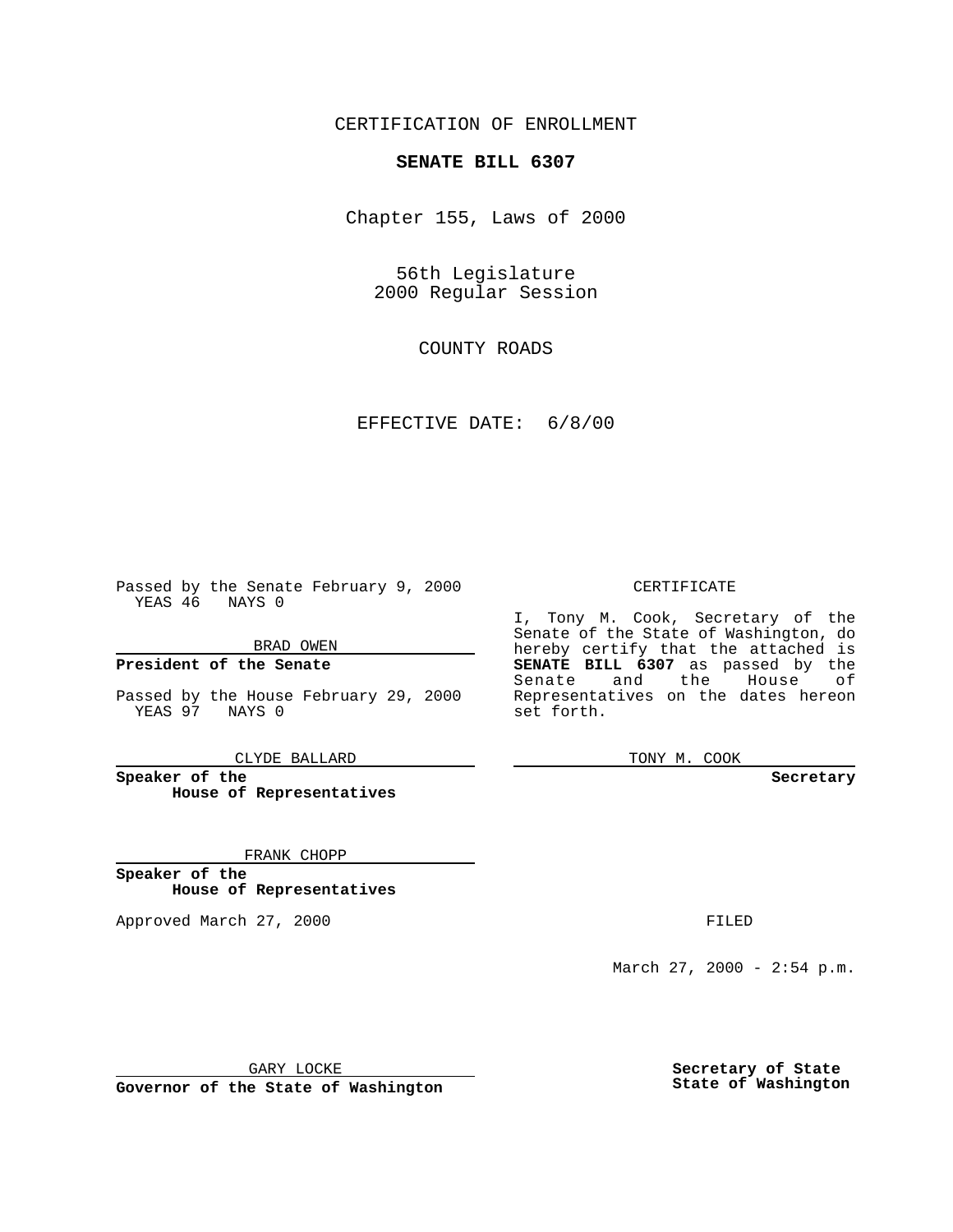### CERTIFICATION OF ENROLLMENT

## **SENATE BILL 6307**

Chapter 155, Laws of 2000

56th Legislature 2000 Regular Session

COUNTY ROADS

### EFFECTIVE DATE: 6/8/00

Passed by the Senate February 9, 2000 YEAS 46 NAYS 0

#### BRAD OWEN

**President of the Senate**

Passed by the House February 29, 2000 YEAS 97 NAYS 0

CLYDE BALLARD

**Speaker of the House of Representatives**

#### FRANK CHOPP

**Speaker of the House of Representatives**

Approved March 27, 2000 FILED

#### CERTIFICATE

I, Tony M. Cook, Secretary of the Senate of the State of Washington, do hereby certify that the attached is **SENATE BILL 6307** as passed by the Senate and the House of Representatives on the dates hereon set forth.

TONY M. COOK

#### **Secretary**

March 27, 2000 - 2:54 p.m.

GARY LOCKE

**Governor of the State of Washington**

**Secretary of State State of Washington**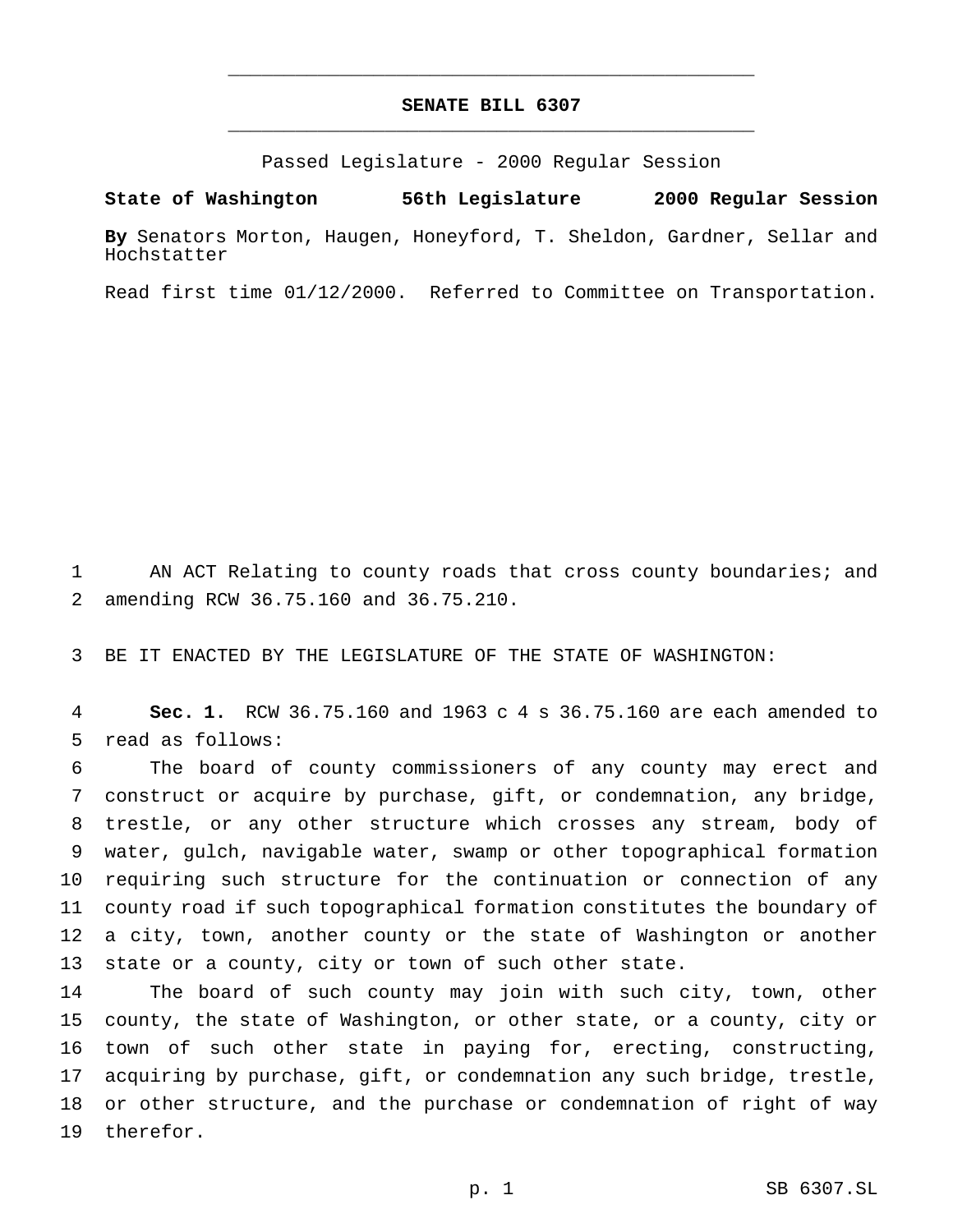# **SENATE BILL 6307** \_\_\_\_\_\_\_\_\_\_\_\_\_\_\_\_\_\_\_\_\_\_\_\_\_\_\_\_\_\_\_\_\_\_\_\_\_\_\_\_\_\_\_\_\_\_\_

\_\_\_\_\_\_\_\_\_\_\_\_\_\_\_\_\_\_\_\_\_\_\_\_\_\_\_\_\_\_\_\_\_\_\_\_\_\_\_\_\_\_\_\_\_\_\_

Passed Legislature - 2000 Regular Session

**State of Washington 56th Legislature 2000 Regular Session**

**By** Senators Morton, Haugen, Honeyford, T. Sheldon, Gardner, Sellar and Hochstatter

Read first time 01/12/2000. Referred to Committee on Transportation.

 AN ACT Relating to county roads that cross county boundaries; and amending RCW 36.75.160 and 36.75.210.

BE IT ENACTED BY THE LEGISLATURE OF THE STATE OF WASHINGTON:

 **Sec. 1.** RCW 36.75.160 and 1963 c 4 s 36.75.160 are each amended to read as follows:

 The board of county commissioners of any county may erect and construct or acquire by purchase, gift, or condemnation, any bridge, trestle, or any other structure which crosses any stream, body of water, gulch, navigable water, swamp or other topographical formation requiring such structure for the continuation or connection of any county road if such topographical formation constitutes the boundary of a city, town, another county or the state of Washington or another state or a county, city or town of such other state.

 The board of such county may join with such city, town, other county, the state of Washington, or other state, or a county, city or town of such other state in paying for, erecting, constructing, acquiring by purchase, gift, or condemnation any such bridge, trestle, or other structure, and the purchase or condemnation of right of way therefor.